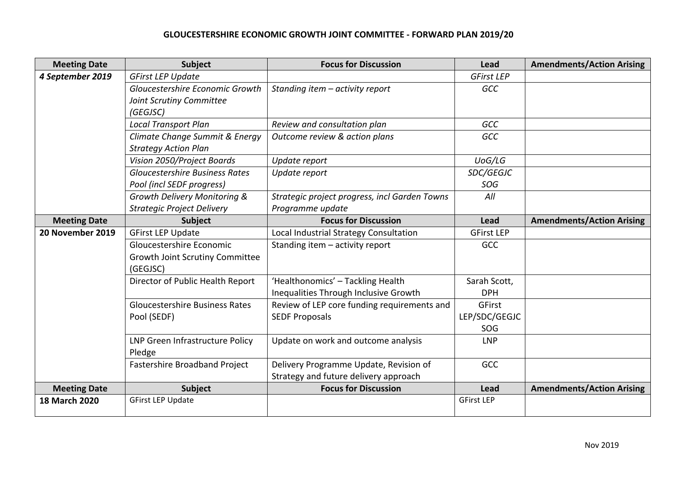## **GLOUCESTERSHIRE ECONOMIC GROWTH JOINT COMMITTEE - FORWARD PLAN 2019/20**

| <b>Meeting Date</b> | Subject                               | <b>Focus for Discussion</b>                   | Lead              | <b>Amendments/Action Arising</b> |
|---------------------|---------------------------------------|-----------------------------------------------|-------------------|----------------------------------|
| 4 September 2019    | <b>GFirst LEP Update</b>              |                                               | <b>GFirst LEP</b> |                                  |
|                     | Gloucestershire Economic Growth       | Standing item - activity report               | GCC               |                                  |
|                     | Joint Scrutiny Committee              |                                               |                   |                                  |
|                     | (GEGJSC)                              |                                               |                   |                                  |
|                     | <b>Local Transport Plan</b>           | Review and consultation plan                  | GCC               |                                  |
|                     | Climate Change Summit & Energy        | Outcome review & action plans                 | <b>GCC</b>        |                                  |
|                     | <b>Strategy Action Plan</b>           |                                               |                   |                                  |
|                     | Vision 2050/Project Boards            | Update report                                 | UoG/LG            |                                  |
|                     | <b>Gloucestershire Business Rates</b> | Update report                                 | SDC/GEGJC         |                                  |
|                     | Pool (incl SEDF progress)             |                                               | SOG               |                                  |
|                     | Growth Delivery Monitoring &          | Strategic project progress, incl Garden Towns | All               |                                  |
|                     | <b>Strategic Project Delivery</b>     | Programme update                              |                   |                                  |
| <b>Meeting Date</b> | <b>Subject</b>                        | <b>Focus for Discussion</b>                   | <b>Lead</b>       | <b>Amendments/Action Arising</b> |
| 20 November 2019    | <b>GFirst LEP Update</b>              | Local Industrial Strategy Consultation        | <b>GFirst LEP</b> |                                  |
|                     | Gloucestershire Economic              | Standing item - activity report               | <b>GCC</b>        |                                  |
|                     | Growth Joint Scrutiny Committee       |                                               |                   |                                  |
|                     | (GEGJSC)                              |                                               |                   |                                  |
|                     | Director of Public Health Report      | 'Healthonomics' - Tackling Health             | Sarah Scott,      |                                  |
|                     |                                       | Inequalities Through Inclusive Growth         | <b>DPH</b>        |                                  |
|                     | <b>Gloucestershire Business Rates</b> | Review of LEP core funding requirements and   | GFirst            |                                  |
|                     | Pool (SEDF)                           | <b>SEDF Proposals</b>                         | LEP/SDC/GEGJC     |                                  |
|                     |                                       |                                               | SOG               |                                  |
|                     | LNP Green Infrastructure Policy       | Update on work and outcome analysis           | <b>LNP</b>        |                                  |
|                     | Pledge                                |                                               |                   |                                  |
|                     | Fastershire Broadband Project         | Delivery Programme Update, Revision of        | <b>GCC</b>        |                                  |
|                     |                                       | Strategy and future delivery approach         |                   |                                  |
| <b>Meeting Date</b> | Subject                               | <b>Focus for Discussion</b>                   | Lead              | <b>Amendments/Action Arising</b> |
| 18 March 2020       | <b>GFirst LEP Update</b>              |                                               | <b>GFirst LEP</b> |                                  |